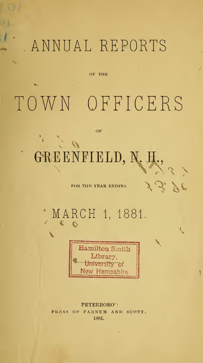# ANNUAL REPORTS

OF THE

TOWN OFFICERS

OF

# GREENFIELD, N. H.,

FOR THE YEAR ENDING

 $\mathcal{L}$ 

MARCH 1, 1881.  $\mathbf{C}$ 



PETERBORO': **PRESS**  $O$ F FARNUM AND SCOTT. 1881.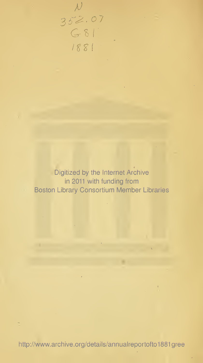Digitized by the Internet Archive in 2011 with funding from Boston Library Consortium Member Libraries

 $N$ <br>352.07<br>G 81

1881

http://www.archive.org/details/annualreportofto1881gree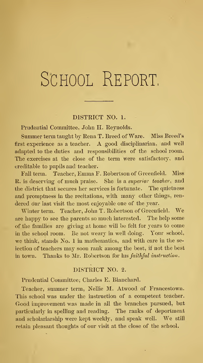# SCHOOL REPORT.

## DISTRICT NO. 1.

Prudential Committee, John H. Reynolds.

Summer term taught by Rena T. Breed of Ware. Miss Breed's first experience as <sup>a</sup> teacher. A good disciplinarian, and well adapted to the duties and responsibilities of the school room. The exercises at the close of the term were satisfactory, and creditable to pupils and teacher.

Fall term. Teacher, Emma F. Robertson of Greenfield. Miss R. is deserving of much praise. She is a superior teacher, and the district that secures her services is fortunate. The quietness and promptness in the recitations, with many other things, ren dered our last visit the most enjoyable one of the year.

Winter term. Teacher, John T. Robertson of Greenfield. We are happy to see the parents so much interested. The help some of the families are giving at home will be felt for years to come in the school room. Be not weary in well doing. Your school, we think, stands No. <sup>1</sup> in mathematics, and with care in the se lection of teachers may soon rank among the best, if not the best in town. Thanks to Mr. Robertson for his faithful instruction.

## DISTRICT NO. 2.

Prudential Committee, Charles E. Blanchard.

Teacher, summer term, Nellie M. Atwood of Francestown. This school was under the instruction of a competent teacher. Good improvement was made in all the branches pursued, but particularly in spelling and reading. The ranks of deportment and scholarlarship were kept weekly, and speak well. We still retain pleasant thoughts of our visit at the close of the school.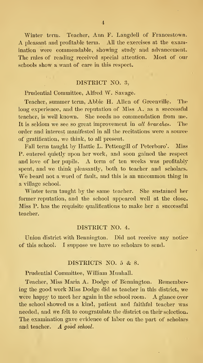Winter term. Teacher, Ann F. Langdell of Francestown. A pleasant and profitable term. All the exercises at the examination were commendable, showing study and advancement. The rules of reading received special attention. Most of our schools show a want of care in this respect.

#### DISTRICT NO. 3,

Prudential Committee, Alfred W. Savage.

Teacher, summer term, Abbie H. Allen of Greenville. The long experience, and the reputation of Miss A. as a successful teacher, is well known. She needs no commendation from me. It is seldom we see so great improvement in all branches. The order and interest manifested in all the recitations were a source of gratification, we think, to all present.

Fall term taught by Hattie L. Pettengill of Peterboro'. Miss P. entered quietly upon her work, and soon gained the respect and love of her pupils. A term of ten weeks was profitably spent, and we think pleasantly, both to teacher and scholars. We beard not a word of fault, and this is an uncommon thing in a village school.

Winter term taught by the same teacher. She sustained her former reputation, and the school appeared well at the close. Miss P. has the requisite qualifications to make her a successful teacher.

### DISTRICT NO. 4.

Union district with Bennington. Did not receive any notice of this school. I suppose we have no scholars to send.

#### DISTRICTS NO. <sup>5</sup> & 8.

Prudential Committee, William Munhall.

Teacher, Miss Maria A. Dodge of Bennington. Remembering the good work Miss Dodge did as teacher in this district, we were happy to meet her again in the school room. A glance over the school showed us a kind, patient and faithful teacher was needed, and we felt to congratulate the district on their selection. The examination gave evidence of labor on the part of scholars and teacher. A good school.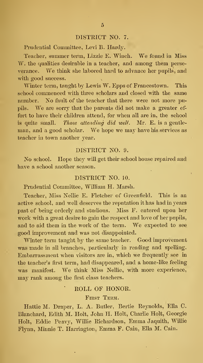## DISTRICT NO. 7.

Prudential Committee, Levi B. Hardy.

Teacher, summer term, Lizzie E. Winch. We found in Miss W. the qualities desirable in a teacher, and among them perseverance. We think she labored hard to advance her pupils, and with good success.

Winter term, taught by Lewis W. Epps of Francestown. This school commenced with three scholars and closed with the same number. No fault of the teacher that there were not more pupils. We are sorry that the parents did not make a greater effort to have their children attend, for when all are in, the school is quite small. Those attending did well. Mr. E. is a gentleman, and <sup>a</sup> good scholar. We hope we may have his services as teacher in town another year.

### DISTRICT NO. 9.

No school. Hope they will get their school house repaired and have a school another season.

#### DISTRICT NO. 10.

Pnidential Committee, William H. Marsh.

Teacher, Miss Nellie E. Fletcher of Greenfield. This is an active school, and well deserves the reputation it has had in years past of being orderly and studious. Miss F. entered upon her work with a great desire to gain the respect and love of her pupils, and to aid them in the work of the term. We expected to see good improvement and was not disappointed.

Winter term taught by the same teacher. Good improvement was made in all branches, particularly in reading and spelling. Embarrassment when visitors are in, which we frequently see in the teacher's first term, had disappeared, and a home-like feeling was manifest. We think Miss Nellie, with more experience, may rank among the first class teachers.

#### ROLL OF HONOR.

## FIRST TERM.

Hattie M. Draper, L. A. Butler, Bertie Reynolds, Ella C. Blanchard, Edith M. Holt, John H. Holt, Charhe Holt, Georgie Holt, Eddie Peavy, Willie Richardson, Emma Jaquith, Willie Flynn, Minnie T. Harrington, Emma F. Cain, Ella M. Cain.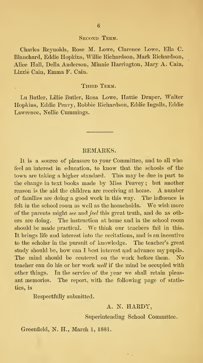#### Second Term.

Charles Reynolds, Rose M. Lowe, Clarence Lowe, Ella C. Blancharcl, Eddie Hopkins, Willie Richardson, Mark Richardson, Alice Hall, Delia Anderson, Minnie Harrington, Mary A. Cain, Lizzie Cain, Emma F. Cain.

#### THIRD TERM.

Lu Butler, Lillie Butler, Rosa Lowe, Hattie Draper, Walter Hopkins, Eddie Peavy, Robbie Richardson, Eddie Ingalls, Eddie Lawrence, Nellie Cummings.

## REMARKS.

It is a source of pleasure to your Committee, and to all who feel an interest in education, to know that the schools of the town are taking a higher standard. This may be due in part to the change in text books made by Miss Peavey ; but another reason is the aid the children are receiving at home. A number of families are doing a good work in this way. The influence is felt in the school room as well as the households. We wish more of the parents might see and feel this great truth, and do as others are doing. The instruction at home and in the school room should be made practical. We think our teachers fail in this. It brings life and interest into the recitations, and is an incentive to the scholar in the pursuit of knowledge. The teacher's great study should be, how can I best interest and advance my pupils. The mind should be centered on the work before them. No teacher can do his or her work well if the mind be occupied with other things. In the service of the year we shall retain pleas ant memories. The report, with the following page of statistics, is

Respectfully submitted.

#### A. N. HARDY,

#### Superintending School Committee.

Greenfield, N. H., March 1, 1881.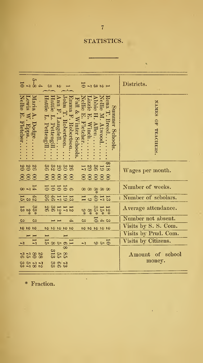# STATISTICS.

 $\bullet$ 

 $\bar{t}$ 

|                           |                                        | $\frac{5}{4}$ $\frac{1}{8}$ $\frac{1}{6}$     | ಲ                        |                    | $\mathcal{L}$      |                                          |                          |                           |                          | $\frac{1}{2}$ 8 8 9 $\frac{1}{2}$ |                        |                   |                                                                        |                 | Districts.                     |
|---------------------------|----------------------------------------|-----------------------------------------------|--------------------------|--------------------|--------------------|------------------------------------------|--------------------------|---------------------------|--------------------------|-----------------------------------|------------------------|-------------------|------------------------------------------------------------------------|-----------------|--------------------------------|
| Nellie<br><b>Fletcher</b> | Lewis<br>$\blacktriangleleft$<br>Epps. | Maria<br>Dodge                                | Iattie<br>Ģ<br>Pettengil | Iattie<br>Pettengi | nn F.<br>Langdell. | $\overline{\text{chn}}$ T.<br>Robertson. | smma<br>3.<br>Robertson. | Fall &<br>Winter Schools. | Nellie<br>Fletcher       | izzie<br>Winch.                   | bbie<br>$\Delta$ llen. | Vellie<br>Atwood. | Rena<br>Breed.                                                         | Sunnmer Schools | <b>NAMES</b><br>60<br>TEACHERS |
| 888                       |                                        | $\begin{array}{c} 26 \\ 20 \\ 20 \end{array}$ |                          |                    | 202023<br>88888    |                                          |                          |                           |                          |                                   |                        |                   | €<br>122221<br>88888                                                   |                 | Wages per month.               |
|                           |                                        | $74 - 8$                                      |                          |                    | ಕಕಕಕೂ              |                                          |                          |                           |                          |                                   |                        |                   | $\infty \infty \infty \infty$                                          |                 | Number of weeks.               |
|                           |                                        | $\frac{4}{13}$ w $\frac{1}{12}$               |                          |                    | 122748             |                                          |                          |                           |                          |                                   |                        |                   | 35501                                                                  |                 | Number of scholars.            |
|                           |                                        | $3348$<br>$-13$                               |                          |                    | 112880             |                                          |                          |                           |                          |                                   |                        |                   | $\begin{array}{c} 11.3 \\ 21.5 \\ 32.5 \\ 40.8 \\ 50.9 \\ \end{array}$ |                 | Average attendance.            |
| లు                        |                                        | లు                                            |                          |                    |                    |                                          | 4                        |                           | లు                       |                                   |                        |                   | $\frac{1}{2}$                                                          |                 | Number not absent.             |
| $\omega \omega \omega$    |                                        |                                               |                          |                    | <b>NNNNN</b>       |                                          |                          |                           |                          |                                   |                        |                   | <b>NNNNN</b>                                                           |                 | Visits by S. S. Com.           |
|                           |                                        |                                               |                          |                    |                    |                                          |                          |                           |                          |                                   |                        |                   |                                                                        |                 | Visits by Prud. Com.           |
| 7                         |                                        | $\overline{\phantom{0}}$                      |                          |                    | $\frac{1}{100000}$ |                                          |                          |                           | $\overline{\phantom{0}}$ |                                   |                        |                   | 5.000                                                                  |                 | Visits by Citizens.            |
|                           |                                        | <b>2582</b>                                   |                          |                    | 3535               | €₽                                       |                          |                           |                          |                                   |                        |                   |                                                                        |                 | Amount of school<br>money.     |
|                           |                                        | 282                                           |                          |                    | <b>8923</b>        |                                          |                          |                           |                          |                                   |                        |                   |                                                                        |                 |                                |

 $\mathcal{L}_{\mathcal{A}}$ 

\* Fraction.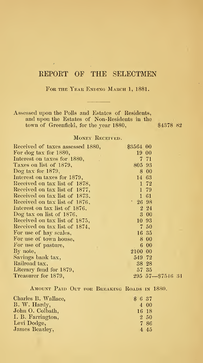# REPORT OF THE SELECTMEN

FOR THE YEAR ENDING MARCH 1, 1881.

Assessed upon the Polls and Estates of Residents, and upon the Estates of Non-Residents in the town of Greenfield, for the year  $1880,$   $$4378$   $82$ 

## MONEY RECEIVED.

| Received of taxes assessed 1880, | \$3564.00 |                           |  |
|----------------------------------|-----------|---------------------------|--|
| For dog tax for 1880,            | 19 00     |                           |  |
| Interest on taxes for 1880,      |           | 7 71                      |  |
| Taxes on list of 1879,           | 805 93    |                           |  |
| Dog tax for $1879$ ,             |           | 8 00                      |  |
| Interest on taxes for 1879,      | 14 63     |                           |  |
| Received on tax list of 1878,    |           | 1 72                      |  |
| Received on tax list of 1877,    |           | 1 79                      |  |
| Received on tax list of 1873,    |           | 1 61                      |  |
| Received on tax list of 1876,    | 12698     |                           |  |
| Interest on tax list of 1876,    |           | $2\,24$                   |  |
| Dog tax on list of 1876,         |           | 3 00                      |  |
| Received on tax list of 1875,    |           | 10 93                     |  |
| Received on tax list of 1874,    |           | 7 50                      |  |
| For use of hay scales,           |           | 16 35                     |  |
| For use of town house,           |           | 8 0 0                     |  |
| For use of pasture,              |           | 6 00                      |  |
| By note,                         | 2100 00   |                           |  |
| Savings bank tax,                | 549 72    |                           |  |
| Railroad tax,                    |           | 38 28                     |  |
| Literary fund for 1879,          |           | 57 35                     |  |
| Treasurer for 1879,              |           | $295\ \ 57 - 87546\ \ 31$ |  |
|                                  |           |                           |  |

AMOUNT PAID OUT FOR BREAKING ROADS IN 1880.

| Charles B. Wallace. | \$637   |  |
|---------------------|---------|--|
| B. W. Hardy,        | 4 00    |  |
| John O. Colbath,    | 16 18   |  |
| I. B. Farrington,   | 2 50    |  |
| Levi Dodge,         | 7 86    |  |
| James Beazley,      | $4\,45$ |  |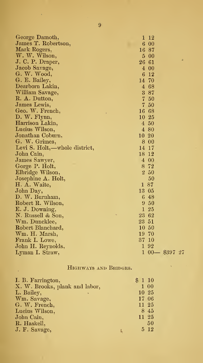| George Damoth,                |            | $1\ \ 12$        |
|-------------------------------|------------|------------------|
| James T. Robertson,           |            | 6 00             |
| Mark Rogers,                  |            | 16 87            |
| W. W. Wilson,                 |            | 5 00             |
| J. C. P. Draper,              | $26\ \ 61$ | ۰                |
| Jacob Savage,                 |            | 4 00             |
| G. W. Wood,                   |            | $6\quad12$       |
| G. E. Bailey,                 | 14 70      |                  |
| Dearborn Lakin,               |            | 4 68             |
| William Savage,               |            | 3 87             |
| R. A. Dutton,                 |            | 7 50             |
| James Lewis,                  |            | 7 50             |
| Geo. W. French,               | 16 68      |                  |
| D. W. Flynn,                  | $10\,25$   |                  |
| Harrison Lakin,               |            | 4 50             |
| Lucius Wilson,                |            | 4 80             |
| Jonathan Coburn,              | 10 20      |                  |
| G. W. Grimes,                 |            | $8\,00$          |
| Levi S. Holt,—whole district, | 14 17      |                  |
| John Cain,                    | $18\,12$   |                  |
| James Sawyer,                 |            | $4\overline{00}$ |
| Gorge P. Holt,                |            | 8 72             |
| Elbridge Wilson,              |            | 2 50             |
| Josephine A. Holt,            |            | 50               |
| H. A. Waite,                  |            | 187              |
| John Day,                     | 13 05      |                  |
| D. W. Burnham,                |            | 6 48             |
| Robert R. Wilson,             |            | 9 50             |
| E. J. Downing,                |            | 1 25             |
| N. Russell & Son,             | 23 62      |                  |
| Wm. Duncklee,                 | 23 51      |                  |
| Robert Blanchard,             | 10 50      |                  |
| Wm. H. Marsh,                 | 19 70      |                  |
| Frank I. Lowe,                | 37 10      |                  |
| John H. Reynolds,             |            | 192              |
| Lyman I. Straw,               | 1          | $00 - $39727$    |

# Highways and Bridges.

 $\bar{\lambda}$ 

| I. B. Farrington,              | $$1\,10$ |    |
|--------------------------------|----------|----|
| X. W. Brooks, plank and labor, | 1 00     |    |
| L. Bailey,                     | 10 25    |    |
| Wm. Savage,                    | 17 06    |    |
| G. W. French,                  | 11 25    |    |
| Lucius Wilson,                 | 8 45     |    |
| John Cain,                     | 11 25    |    |
| R. Haskell,                    |          | 50 |
| J. F. Savage,                  | $5\,12$  |    |

Ŷ,

 $\overline{9}$ 

À,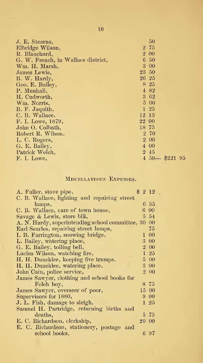| J. E. Stearns,                     |       | 50                        |
|------------------------------------|-------|---------------------------|
| Elbridge Wilson,                   |       | 2, 75                     |
| R. Blanchard,                      |       | 2 00                      |
| G. W. French, in Wallace district, |       | 6 50                      |
| Wm. H. Marsh,                      |       | 3 00                      |
| James Lewis,                       |       | 23 50                     |
| B. W. Hardy,                       |       | 26 25                     |
| Geo. E. Bailey,                    |       | 8 25                      |
| P. Munhall,                        |       | 4 82                      |
| H. Cudworth,                       |       | 3 62                      |
| Wm. Norris,                        |       | 5 00                      |
| B. F. Jaquith,                     |       | $1\,25$                   |
| C. B. Wallace,                     | 12 13 |                           |
| F. I. Lowe, 1879,                  | 22 00 |                           |
| John O. Colbath,                   | 18 75 |                           |
| Robert R. Wilson,                  |       | 2 70                      |
| L. C. Rogers,                      |       | 2 00                      |
| G. E. Bailey,                      |       | 4 00                      |
| Patrick Welch,                     |       | 2 45                      |
| F. I. Lowe,                        |       | $4\,50 -$<br>\$221<br>-95 |

# MISCELLANEOUS EXPENSES.

| A. Fuller, stove pipe,                           | \$<br>2 1 2 |  |
|--------------------------------------------------|-------------|--|
| C. B. Wallace, lighting and repairing street     |             |  |
| lamps,                                           | 6 55        |  |
| C. B. Wallace, care of town house,               | $6\ \ 00$   |  |
| Savage & Lewis, store bill,                      | $5\,54$     |  |
| A. N. Hardy, superintending school committee, 30 | $_{00}$     |  |
| Earl Searles, repairing street lamps,            | 75          |  |
| I. B. Farrington, snowing bridge,                | 1 00        |  |
| L. Bailey, watering place,                       | 3 00        |  |
| G. E. Bailey, tolling bell,                      | 2 00        |  |
| Lucius Wilson, watching fire,                    | $1\,25$     |  |
| H. H. Duncklee, keeping five tramps.             | $5\ \ 00$   |  |
| H. H. Duncklee, watering place,                  | $3\ \ 00$   |  |
| John Cain, police service,                       | $2\ \ 00$   |  |
| James Sawyer, clothing and school books for      |             |  |
| Felch boy,                                       | 8 75        |  |
| James Sawyer, overseer of poor,                  | 15 00       |  |
| Supervisors for 1880,                            | 9 00        |  |
| J. L. Fish, damage to sleigh,                    | $1\,25$     |  |
| Samuel H. Partridge, returning births and        |             |  |
| deaths,                                          | 575         |  |
| E. C. Richardson, clerkship,                     | $20\ \ 00$  |  |
| E. C. Richardson, stationery, postage and        |             |  |
| school books,                                    | 697         |  |
|                                                  |             |  |

l,

10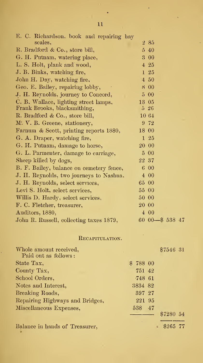| E. C. Richardson, book and repairing hay<br>scales. | 285                                     |
|-----------------------------------------------------|-----------------------------------------|
| R. Bradford & Co., store bill,                      | $5\,40$                                 |
| G. H. Putnam, watering place,                       | 3 00                                    |
| L. S. Holt, plank and wood,                         | $4\,25$                                 |
| J. B. Binks, watching fire,                         | 1 25                                    |
| John H. Day, watching fire,                         | $4\,50$                                 |
| Geo. E. Bailey, repairing lobby,                    | 8 00                                    |
| J. H. Reynolds, journey to Concord,                 | 5 00                                    |
| C. B. Wallace, lighting street lamps,               | 13 05                                   |
| Frank Brooks, blacksmithing,                        | $5\,26$                                 |
| R. Bradford & Co., store bill,                      | 10 64                                   |
| M. V. B. Greene, stationery,                        | 9 72                                    |
| Farnum & Scott, printing reports 1880,              | 18 00                                   |
| G. A. Draper, watching fire,                        | 1 25                                    |
| G. H. Putnam, damage to horse,                      | 20 00                                   |
| G. L. Parmenter, damage to carriage,                | 5 00                                    |
| Sheep killed by dogs,                               | 22 37                                   |
| B. F. Bailey, balance on cemetery fence,            | 6 00                                    |
| J. H. Reynolds, two journeys to Nashua,             | 4 0 0                                   |
| J. H. Reynolds, select services,                    | 65 00                                   |
| Levi S. Holt, select services,                      | 55 00                                   |
| Willis D. Hardy, select services,                   | 50 00                                   |
| F. C. Fletcher, treasurer,                          | 20 00                                   |
| Auditors, 1880,                                     | 400                                     |
| John R. Russell, collecting taxes 1879,             | $60\text{ }00 - 8\text{ }538\text{ }47$ |
|                                                     |                                         |

# RECAPITULATION.

l.

| Whole amount received,          | \$7546 31 |
|---------------------------------|-----------|
| Paid out as follows:            |           |
| State Tax,                      | \$78800   |
| County Tax,                     | 751 42    |
| School Orders,                  | 748 61    |
| Notes and Interest,             | 3834 82   |
| Breaking Roads,                 | 397 27    |
| Repairing Highways and Bridges, | 221 95    |
| Miscellaneous Expenses,         | 538 47    |
|                                 | \$7280 54 |
| Balance in hands of Treasurer,  | \$265 77  |

11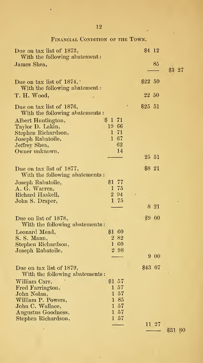| Due on tax list of 1873,<br>With the following abatement: |           | \$4 12      |                   |         |  |
|-----------------------------------------------------------|-----------|-------------|-------------------|---------|--|
|                                                           |           |             | 85                |         |  |
| James Shea,                                               |           |             |                   | \$3 27  |  |
|                                                           |           |             |                   |         |  |
| Due on tax list of $1874$ ,                               |           | $$22\ 50$   |                   |         |  |
| With the following abatement:                             |           |             |                   |         |  |
| T. H. Wood,                                               |           | $22\ \ 50$  |                   |         |  |
|                                                           |           |             |                   |         |  |
| Due on tax list of 1876,                                  |           | $\$25$ $51$ |                   |         |  |
| With the following abatements:                            |           |             |                   |         |  |
| Albert Huntington,                                        | \$171     |             |                   |         |  |
| Taylor D. Lakin,                                          | 19 66     |             |                   |         |  |
| Stephen Richardson,                                       | 1 71      |             |                   |         |  |
| Joseph Rabatoile,                                         | 167       |             |                   |         |  |
| Jeffrey Shea,                                             | 62<br>14  |             |                   |         |  |
| Owner unknown,                                            |           |             | $25\ \ 51$        |         |  |
|                                                           |           |             |                   |         |  |
| Due on tax list of 1877,                                  |           | $\$8$ 21    |                   |         |  |
| With the following abatements:                            |           |             |                   |         |  |
| Joseph Rabatoile,                                         | \$177     |             |                   |         |  |
| A. G. Warren,                                             | 1 75      |             |                   |         |  |
| Richard Haskell,                                          | 2 94      | $\lambda$   |                   |         |  |
| John S. Draper,                                           | $1\ \ 75$ |             |                   |         |  |
|                                                           |           |             | $8\hphantom{1}21$ |         |  |
|                                                           |           |             |                   |         |  |
| Due on list of 1878,                                      |           |             | $$9\ 00$          |         |  |
| With the following abatements:                            |           |             |                   |         |  |
| Leonard Mead,                                             | \$1 60    |             |                   |         |  |
| S. S. Mann,                                               | $2\ \ 82$ |             |                   |         |  |
| Stephen Richardson,                                       | $1\ \ 60$ |             |                   |         |  |
| Joseph Rabatoile,                                         | $2\ \ 98$ |             |                   |         |  |
|                                                           |           |             | 9 00              |         |  |
| Due on tax list of 1879,                                  |           | \$43 07     |                   |         |  |
| With the following abatements:                            |           |             |                   |         |  |
| William Carr,                                             | $$1\ 57$  |             |                   |         |  |
| Fred Farrington,                                          | $1\,57$   |             |                   |         |  |
| John Nolan,                                               | $1\ \ 57$ |             |                   |         |  |
| William P. Powers,                                        | $1\ \ 85$ |             |                   |         |  |
| John C. Wallace,                                          | $1\ \ 57$ |             |                   |         |  |
| Augustus Goodness,                                        | $1\ \ 57$ |             |                   |         |  |
| Stephen Richardson,                                       | $1\ \ 57$ |             |                   |         |  |
|                                                           |           |             | 11 27             |         |  |
|                                                           |           |             |                   | \$31 80 |  |

l,

l,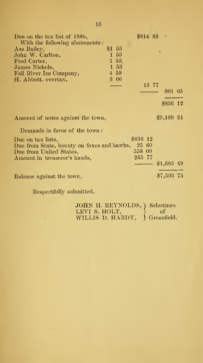| Due on the tax list of 1880,               |                  | $$814$ $82$ $*$ |             |  |
|--------------------------------------------|------------------|-----------------|-------------|--|
| With the following abatements:             |                  |                 |             |  |
| Asa Bailey,                                | $$1\,53$         |                 |             |  |
| John W. Carlton,                           | 1 53             |                 |             |  |
| Fred Carter,                               | $1\,53$          |                 |             |  |
| James Nichols,                             | 1 53             |                 |             |  |
| Fall River Ice Company,                    | $4\overline{59}$ |                 |             |  |
| H. Abbott, overtax,                        | 306              |                 |             |  |
|                                            |                  | 13 77           |             |  |
|                                            |                  |                 | 801 05      |  |
|                                            |                  |                 | \$836 12    |  |
| Amount of notes against the town,          |                  |                 | $$9,189$ 24 |  |
| Demands in favor of the town:              |                  |                 |             |  |
| Due on tax lists,                          |                  | \$836 12        |             |  |
| Due from State, bounty on foxes and hawks, |                  | 25 60           |             |  |
| Due from United States,                    |                  | 558 00          |             |  |
| Amount in treasurer's hands,               |                  | 265 77          |             |  |
|                                            |                  |                 | $$1,685$ 49 |  |
| Balance against the town,                  |                  |                 | \$7,503 75  |  |
|                                            |                  |                 |             |  |

 ${\bf Respectfully\; submitted,}$ 

| JOHN H. REYNOLDS, ) Selectmen  |       |
|--------------------------------|-------|
| LEVI S. HOLT,                  | $-01$ |
| WILLIS D. HARDY, ) Greenfield. |       |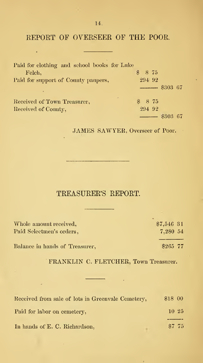REPORT OF OVERSEER OF THE POOR.

 $\bullet$ 

| Paid for clothing and school books for Luke |                        |
|---------------------------------------------|------------------------|
| Felch,                                      | \$875                  |
| Paid for support of County paupers,         | 294 92                 |
| $\sim$                                      | $\frac{1}{1}$ \$303 67 |
| ۰<br>Received of Town Treasurer,            | \$875                  |
| Received of County,                         | 294 92                 |
|                                             | \$303 67               |

JAMES SAWYER, Overseer of Poor.

# TREASURER'S REPORT.

<u> Louis Communication</u>

<u> 1980 - Johann Barn, mars eta biztanleria (</u>

| \$7,546 31 |
|------------|
| 7,280 54   |
| \$265 77   |
|            |
|            |

FRANKLIN C. FLETCHER, Town Treasurer.

÷,

 $\vartheta$ 

| Received from sale of lots in Greenvale Cemetery, | \$1800   |
|---------------------------------------------------|----------|
| Paid for labor on cemetery,                       | $10\,25$ |
| In hands of E. C. Richardson,                     | \$7.75   |